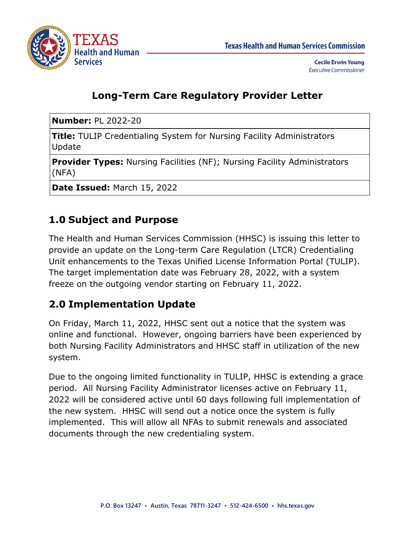

### **Long-Term Care Regulatory Provider Letter**

**Number:** PL 2022-20

**Title:** TULIP Credentialing System for Nursing Facility Administrators Update

**Provider Types:** Nursing Facilities (NF); Nursing Facility Administrators (NFA)

**Date Issued:** March 15, 2022

## **1.0 Subject and Purpose**

The Health and Human Services Commission (HHSC) is issuing this letter to provide an update on the Long-term Care Regulation (LTCR) Credentialing Unit enhancements to the Texas Unified License Information Portal (TULIP). The target implementation date was February 28, 2022, with a system freeze on the outgoing vendor starting on February 11, 2022.

#### **2.0 Implementation Update**

On Friday, March 11, 2022, HHSC sent out a notice that the system was online and functional. However, ongoing barriers have been experienced by both Nursing Facility Administrators and HHSC staff in utilization of the new system.

Due to the ongoing limited functionality in TULIP, HHSC is extending a grace period. All Nursing Facility Administrator licenses active on February 11, 2022 will be considered active until 60 days following full implementation of the new system. HHSC will send out a notice once the system is fully implemented. This will allow all NFAs to submit renewals and associated documents through the new credentialing system.